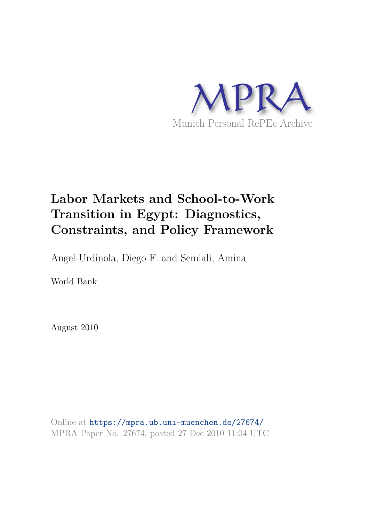

# **Labor Markets and School-to-Work Transition in Egypt: Diagnostics, Constraints, and Policy Framework**

Angel-Urdinola, Diego F. and Semlali, Amina

World Bank

August 2010

Online at https://mpra.ub.uni-muenchen.de/27674/ MPRA Paper No. 27674, posted 27 Dec 2010 11:04 UTC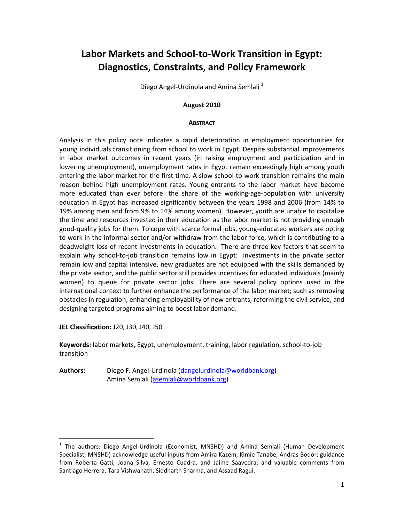# Labor Markets and School-to-Work Transition in Egypt: Diagnostics, Constraints, and Policy Framework

Diego Angel-Urdinola and Amina Semlali<sup>1</sup>

#### August 2010

#### **ABSTRACT**

Analysis in this policy note indicates a rapid deterioration in employment opportunities for young individuals transitioning from school to work in Egypt. Despite substantial improvements in labor market outcomes in recent years (in raising employment and participation and in lowering unemployment), unemployment rates in Egypt remain exceedingly high among youth entering the labor market for the first time. A slow school-to-work transition remains the main reason behind high unemployment rates. Young entrants to the labor market have become more educated than ever before: the share of the working-age-population with university education in Egypt has increased significantly between the years 1998 and 2006 (from 14% to 19% among men and from 9% to 14% among women). However, youth are unable to capitalize the time and resources invested in their education as the labor market is not providing enough good-quality jobs for them. To cope with scarce formal jobs, young-educated workers are opting to work in the informal sector and/or withdraw from the labor force, which is contributing to a deadweight loss of recent investments in education. There are three key factors that seem to explain why school-to-job transition remains low in Egypt: investments in the private sector remain low and capital intensive, new graduates are not equipped with the skills demanded by the private sector, and the public sector still provides incentives for educated individuals (mainly women) to queue for private sector jobs. There are several policy options used in the international context to further enhance the performance of the labor market; such as removing obstacles in regulation, enhancing employability of new entrants, reforming the civil service, and designing targeted programs aiming to boost labor demand.

JEL Classification: J20, J30, J40, J50

 $\overline{a}$ 

Keywords: labor markets, Egypt, unemployment, training, labor regulation, school-to-job transition

Authors: Diego F. Angel-Urdinola (dangelurdinola@worldbank.org) Amina Semlali (asemlali@worldbank.org)

<sup>&</sup>lt;sup>1</sup> The authors: Diego Angel-Urdinola (Economist, MNSHD) and Amina Semlali (Human Development Specialist, MNSHD) acknowledge useful inputs from Amira Kazem, Kimie Tanabe, Andras Bodor; guidance from Roberta Gatti, Joana Silva, Ernesto Cuadra, and Jaime Saavedra; and valuable comments from Santiago Herrera, Tara Vishwanath, Siddharth Sharma, and Assaad Ragui.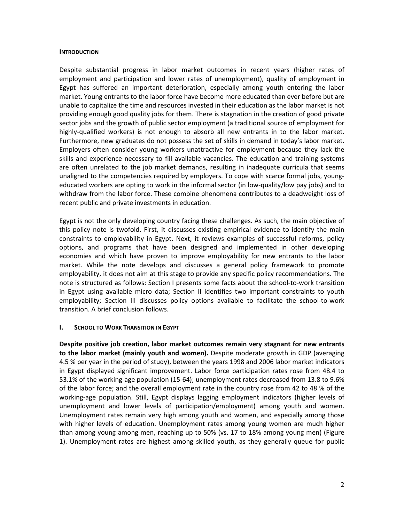#### **INTRODUCTION**

Despite substantial progress in labor market outcomes in recent years (higher rates of employment and participation and lower rates of unemployment), quality of employment in Egypt has suffered an important deterioration, especially among youth entering the labor market. Young entrants to the labor force have become more educated than ever before but are unable to capitalize the time and resources invested in their education as the labor market is not providing enough good quality jobs for them. There is stagnation in the creation of good private sector jobs and the growth of public sector employment (a traditional source of employment for highly-qualified workers) is not enough to absorb all new entrants in to the labor market. Furthermore, new graduates do not possess the set of skills in demand in today's labor market. Employers often consider young workers unattractive for employment because they lack the skills and experience necessary to fill available vacancies. The education and training systems are often unrelated to the job market demands, resulting in inadequate curricula that seems unaligned to the competencies required by employers. To cope with scarce formal jobs, youngeducated workers are opting to work in the informal sector (in low-quality/low pay jobs) and to withdraw from the labor force. These combine phenomena contributes to a deadweight loss of recent public and private investments in education.

Egypt is not the only developing country facing these challenges. As such, the main objective of this policy note is twofold. First, it discusses existing empirical evidence to identify the main constraints to employability in Egypt. Next, it reviews examples of successful reforms, policy options, and programs that have been designed and implemented in other developing economies and which have proven to improve employability for new entrants to the labor market. While the note develops and discusses a general policy framework to promote employability, it does not aim at this stage to provide any specific policy recommendations. The note is structured as follows: Section I presents some facts about the school-to-work transition in Egypt using available micro data; Section II identifies two important constraints to youth employability; Section III discusses policy options available to facilitate the school-to-work transition. A brief conclusion follows.

### **I. SCHOOL TO WORK TRANSITION IN EGYPT**

Despite positive job creation, labor market outcomes remain very stagnant for new entrants to the labor market (mainly youth and women). Despite moderate growth in GDP (averaging 4.5 % per year in the period of study), between the years 1998 and 2006 labor market indicators in Egypt displayed significant improvement. Labor force participation rates rose from 48.4 to 53.1% of the working-age population (15-64); unemployment rates decreased from 13.8 to 9.6% of the labor force; and the overall employment rate in the country rose from 42 to 48 % of the working-age population. Still, Egypt displays lagging employment indicators (higher levels of unemployment and lower levels of participation/employment) among youth and women. Unemployment rates remain very high among youth and women, and especially among those with higher levels of education. Unemployment rates among young women are much higher than among young among men, reaching up to 50% (vs. 17 to 18% among young men) (Figure 1). Unemployment rates are highest among skilled youth, as they generally queue for public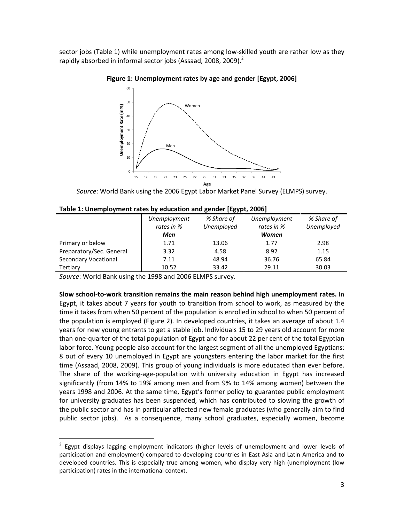sector jobs (Table 1) while unemployment rates among low-skilled youth are rather low as they rapidly absorbed in informal sector jobs (Assaad, 2008, 2009). $^2$ 

Figure 1: Unemployment rates by age and gender [Egypt, 2006]



Source: World Bank using the 2006 Egypt Labor Market Panel Survey (ELMPS) survey.

| Table 1: Unemployment rates by education and gender [Egypt, 2006] |  |  |
|-------------------------------------------------------------------|--|--|
|-------------------------------------------------------------------|--|--|

|                             | Unemployment<br>rates in % | % Share of<br>Unemployed | Unemployment<br>rates in % | % Share of<br>Unemployed |
|-----------------------------|----------------------------|--------------------------|----------------------------|--------------------------|
|                             | Men                        |                          | Women                      |                          |
| Primary or below            | 1.71                       | 13.06                    | 1.77                       | 2.98                     |
| Preparatory/Sec. General    | 3.32                       | 4.58                     | 8.92                       | 1.15                     |
| <b>Secondary Vocational</b> | 7.11                       | 48.94                    | 36.76                      | 65.84                    |
| Tertiary                    | 10.52                      | 33.42                    | 29.11                      | 30.03                    |

Source: World Bank using the 1998 and 2006 ELMPS survey.

 $\overline{a}$ 

Slow school-to-work transition remains the main reason behind high unemployment rates. In Egypt, it takes about 7 years for youth to transition from school to work, as measured by the time it takes from when 50 percent of the population is enrolled in school to when 50 percent of the population is employed (Figure 2). In developed countries, it takes an average of about 1.4 years for new young entrants to get a stable job. Individuals 15 to 29 years old account for more than one-quarter of the total population of Egypt and for about 22 per cent of the total Egyptian labor force. Young people also account for the largest segment of all the unemployed Egyptians: 8 out of every 10 unemployed in Egypt are youngsters entering the labor market for the first time (Assaad, 2008, 2009). This group of young individuals is more educated than ever before. The share of the working-age-population with university education in Egypt has increased significantly (from 14% to 19% among men and from 9% to 14% among women) between the years 1998 and 2006. At the same time, Egypt's former policy to guarantee public employment for university graduates has been suspended, which has contributed to slowing the growth of the public sector and has in particular affected new female graduates (who generally aim to find public sector jobs). As a consequence, many school graduates, especially women, become

 $2$  Egypt displays lagging employment indicators (higher levels of unemployment and lower levels of participation and employment) compared to developing countries in East Asia and Latin America and to developed countries. This is especially true among women, who display very high (unemployment (low participation) rates in the international context.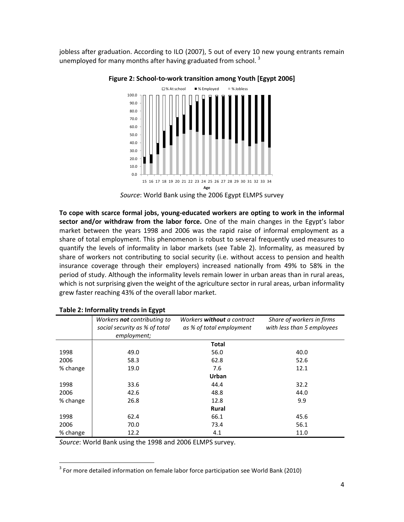jobless after graduation. According to ILO (2007), 5 out of every 10 new young entrants remain unemployed for many months after having graduated from school.<sup>3</sup>



Figure 2: School-to-work transition among Youth [Egypt 2006]

To cope with scarce formal jobs, young-educated workers are opting to work in the informal sector and/or withdraw from the labor force. One of the main changes in the Egypt's labor market between the years 1998 and 2006 was the rapid raise of informal employment as a share of total employment. This phenomenon is robust to several frequently used measures to quantify the levels of informality in labor markets (see Table 2). Informality, as measured by share of workers not contributing to social security (i.e. without access to pension and health insurance coverage through their employers) increased nationally from 49% to 58% in the period of study. Although the informality levels remain lower in urban areas than in rural areas, which is not surprising given the weight of the agriculture sector in rural areas, urban informality grew faster reaching 43% of the overall labor market.

|          | Table 2. MOTHEMEY GETTER IN EXTRE                                           |                                                               |                                                         |
|----------|-----------------------------------------------------------------------------|---------------------------------------------------------------|---------------------------------------------------------|
|          | Workers not contributing to<br>social security as % of total<br>employment; | Workers <b>without</b> a contract<br>as % of total employment | Share of workers in firms<br>with less than 5 employees |
|          |                                                                             | <b>Total</b>                                                  |                                                         |
| 1998     | 49.0                                                                        | 56.0                                                          | 40.0                                                    |
| 2006     | 58.3                                                                        | 62.8                                                          | 52.6                                                    |
| % change | 19.0                                                                        | 7.6                                                           | 12.1                                                    |
|          |                                                                             | Urban                                                         |                                                         |
| 1998     | 33.6                                                                        | 44.4                                                          | 32.2                                                    |
| 2006     | 42.6                                                                        | 48.8                                                          | 44.0                                                    |
| % change | 26.8                                                                        | 12.8                                                          | 9.9                                                     |
|          |                                                                             | <b>Rural</b>                                                  |                                                         |
| 1998     | 62.4                                                                        | 66.1                                                          | 45.6                                                    |
| 2006     | 70.0                                                                        | 73.4                                                          | 56.1                                                    |
| % change | 12.2                                                                        | 4.1                                                           | 11.0                                                    |

### Table 2: Informality trends in Egypt

 $\overline{a}$ 

Source: World Bank using the 1998 and 2006 ELMPS survey.

Source: World Bank using the 2006 Egypt ELMPS survey

 $3$  For more detailed information on female labor force participation see World Bank (2010)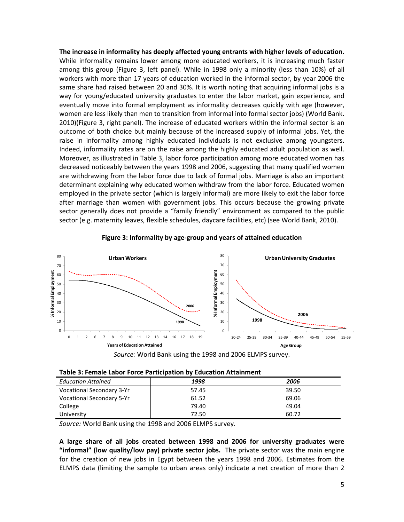The increase in informality has deeply affected young entrants with higher levels of education. While informality remains lower among more educated workers, it is increasing much faster among this group (Figure 3, left panel). While in 1998 only a minority (less than 10%) of all workers with more than 17 years of education worked in the informal sector, by year 2006 the same share had raised between 20 and 30%. It is worth noting that acquiring informal jobs is a way for young/educated university graduates to enter the labor market, gain experience, and eventually move into formal employment as informality decreases quickly with age (however, women are less likely than men to transition from informal into formal sector jobs) (World Bank. 2010)(Figure 3, right panel). The increase of educated workers within the informal sector is an outcome of both choice but mainly because of the increased supply of informal jobs. Yet, the raise in informality among highly educated individuals is not exclusive among youngsters. Indeed, informality rates are on the raise among the highly educated adult population as well. Moreover, as illustrated in Table 3, labor force participation among more educated women has decreased noticeably between the years 1998 and 2006, suggesting that many qualified women are withdrawing from the labor force due to lack of formal jobs. Marriage is also an important determinant explaining why educated women withdraw from the labor force. Educated women employed in the private sector (which is largely informal) are more likely to exit the labor force after marriage than women with government jobs. This occurs because the growing private sector generally does not provide a "family friendly" environment as compared to the public sector (e.g. maternity leaves, flexible schedules, daycare facilities, etc) (see World Bank, 2010).



Figure 3: Informality by age-group and years of attained education

|  |  | Table 3: Female Labor Force Participation by Education Attainment |
|--|--|-------------------------------------------------------------------|
|--|--|-------------------------------------------------------------------|

| <b>Education Attained</b>        | 1998  | 2006  |
|----------------------------------|-------|-------|
| <b>Vocational Secondary 3-Yr</b> | 57.45 | 39.50 |
| <b>Vocational Secondary 5-Yr</b> | 61.52 | 69.06 |
| College                          | 79.40 | 49.04 |
| University                       | 72.50 | 60.72 |

Source: World Bank using the 1998 and 2006 ELMPS survey.

A large share of all jobs created between 1998 and 2006 for university graduates were "informal" (low quality/low pay) private sector jobs. The private sector was the main engine for the creation of new jobs in Egypt between the years 1998 and 2006. Estimates from the ELMPS data (limiting the sample to urban areas only) indicate a net creation of more than 2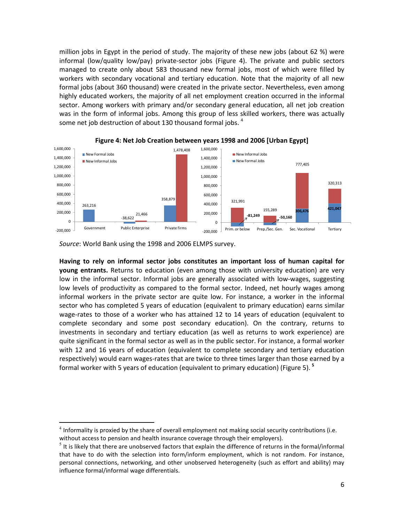million jobs in Egypt in the period of study. The majority of these new jobs (about 62 %) were informal (low/quality low/pay) private-sector jobs (Figure 4). The private and public sectors managed to create only about 583 thousand new formal jobs, most of which were filled by workers with secondary vocational and tertiary education. Note that the majority of all new formal jobs (about 360 thousand) were created in the private sector. Nevertheless, even among highly educated workers, the majority of all net employment creation occurred in the informal sector. Among workers with primary and/or secondary general education, all net job creation was in the form of informal jobs. Among this group of less skilled workers, there was actually some net job destruction of about 130 thousand formal jobs.  $4$ 





Source: World Bank using the 1998 and 2006 ELMPS survey.

 $\overline{a}$ 

Having to rely on informal sector jobs constitutes an important loss of human capital for young entrants. Returns to education (even among those with university education) are very low in the informal sector. Informal jobs are generally associated with low-wages, suggesting low levels of productivity as compared to the formal sector. Indeed, net hourly wages among informal workers in the private sector are quite low. For instance, a worker in the informal sector who has completed 5 years of education (equivalent to primary education) earns similar wage-rates to those of a worker who has attained 12 to 14 years of education (equivalent to complete secondary and some post secondary education). On the contrary, returns to investments in secondary and tertiary education (as well as returns to work experience) are quite significant in the formal sector as well as in the public sector. For instance, a formal worker with 12 and 16 years of education (equivalent to complete secondary and tertiary education respectively) would earn wages-rates that are twice to three times larger than those earned by a formal worker with 5 years of education (equivalent to primary education) (Figure 5). <sup>5</sup>

 $<sup>4</sup>$  Informality is proxied by the share of overall employment not making social security contributions (i.e.</sup> without access to pension and health insurance coverage through their employers).

<sup>5</sup> It is likely that there are unobserved factors that explain the difference of returns in the formal/informal that have to do with the selection into form/inform employment, which is not random. For instance, personal connections, networking, and other unobserved heterogeneity (such as effort and ability) may influence formal/informal wage differentials.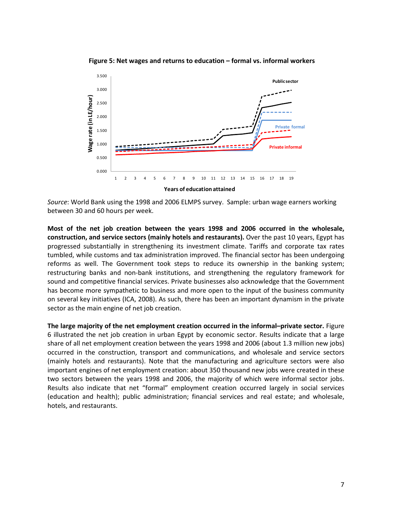Figure 5: Net wages and returns to education – formal vs. informal workers



Source: World Bank using the 1998 and 2006 ELMPS survey. Sample: urban wage earners working between 30 and 60 hours per week.

Most of the net job creation between the years 1998 and 2006 occurred in the wholesale, construction, and service sectors (mainly hotels and restaurants). Over the past 10 years, Egypt has progressed substantially in strengthening its investment climate. Tariffs and corporate tax rates tumbled, while customs and tax administration improved. The financial sector has been undergoing reforms as well. The Government took steps to reduce its ownership in the banking system; restructuring banks and non-bank institutions, and strengthening the regulatory framework for sound and competitive financial services. Private businesses also acknowledge that the Government has become more sympathetic to business and more open to the input of the business community on several key initiatives (ICA, 2008). As such, there has been an important dynamism in the private sector as the main engine of net job creation.

The large majority of the net employment creation occurred in the informal–private sector. Figure 6 illustrated the net job creation in urban Egypt by economic sector. Results indicate that a large share of all net employment creation between the years 1998 and 2006 (about 1.3 million new jobs) occurred in the construction, transport and communications, and wholesale and service sectors (mainly hotels and restaurants). Note that the manufacturing and agriculture sectors were also important engines of net employment creation: about 350 thousand new jobs were created in these two sectors between the years 1998 and 2006, the majority of which were informal sector jobs. Results also indicate that net "formal" employment creation occurred largely in social services (education and health); public administration; financial services and real estate; and wholesale, hotels, and restaurants.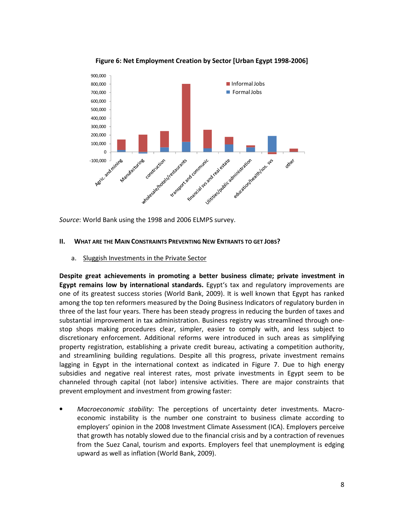

Figure 6: Net Employment Creation by Sector [Urban Egypt 1998-2006]

Source: World Bank using the 1998 and 2006 ELMPS survey.

# II. WHAT ARE THE MAIN CONSTRAINTS PREVENTING NEW ENTRANTS TO GET JOBS?

a. Sluggish Investments in the Private Sector

Despite great achievements in promoting a better business climate; private investment in Egypt remains low by international standards. Egypt's tax and regulatory improvements are one of its greatest success stories (World Bank, 2009). It is well known that Egypt has ranked among the top ten reformers measured by the Doing Business Indicators of regulatory burden in three of the last four years. There has been steady progress in reducing the burden of taxes and substantial improvement in tax administration. Business registry was streamlined through onestop shops making procedures clear, simpler, easier to comply with, and less subject to discretionary enforcement. Additional reforms were introduced in such areas as simplifying property registration, establishing a private credit bureau, activating a competition authority, and streamlining building regulations. Despite all this progress, private investment remains lagging in Egypt in the international context as indicated in Figure 7. Due to high energy subsidies and negative real interest rates, most private investments in Egypt seem to be channeled through capital (not labor) intensive activities. There are major constraints that prevent employment and investment from growing faster:

Macroeconomic stability: The perceptions of uncertainty deter investments. Macroeconomic instability is the number one constraint to business climate according to employers' opinion in the 2008 Investment Climate Assessment (ICA). Employers perceive that growth has notably slowed due to the financial crisis and by a contraction of revenues from the Suez Canal, tourism and exports. Employers feel that unemployment is edging upward as well as inflation (World Bank, 2009).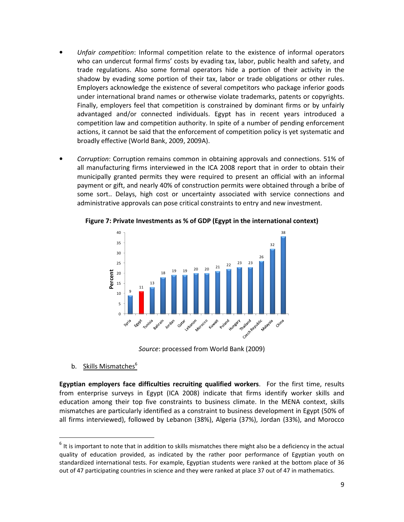- Unfair competition: Informal competition relate to the existence of informal operators who can undercut formal firms' costs by evading tax, labor, public health and safety, and trade regulations. Also some formal operators hide a portion of their activity in the shadow by evading some portion of their tax, labor or trade obligations or other rules. Employers acknowledge the existence of several competitors who package inferior goods under international brand names or otherwise violate trademarks, patents or copyrights. Finally, employers feel that competition is constrained by dominant firms or by unfairly advantaged and/or connected individuals. Egypt has in recent years introduced a competition law and competition authority. In spite of a number of pending enforcement actions, it cannot be said that the enforcement of competition policy is yet systematic and broadly effective (World Bank, 2009, 2009A).
- Corruption: Corruption remains common in obtaining approvals and connections. 51% of all manufacturing firms interviewed in the ICA 2008 report that in order to obtain their municipally granted permits they were required to present an official with an informal payment or gift, and nearly 40% of construction permits were obtained through a bribe of some sort.. Delays, high cost or uncertainty associated with service connections and administrative approvals can pose critical constraints to entry and new investment.



Figure 7: Private Investments as % of GDP (Egypt in the international context)

Source: processed from World Bank (2009)

b. Skills Mismatches<sup>6</sup>

 $\overline{a}$ 

Egyptian employers face difficulties recruiting qualified workers. For the first time, results from enterprise surveys in Egypt (ICA 2008) indicate that firms identify worker skills and education among their top five constraints to business climate. In the MENA context, skills mismatches are particularly identified as a constraint to business development in Egypt (50% of all firms interviewed), followed by Lebanon (38%), Algeria (37%), Jordan (33%), and Morocco

 $<sup>6</sup>$  It is important to note that in addition to skills mismatches there might also be a deficiency in the actual</sup> quality of education provided, as indicated by the rather poor performance of Egyptian youth on standardized international tests. For example, Egyptian students were ranked at the bottom place of 36 out of 47 participating countries in science and they were ranked at place 37 out of 47 in mathematics.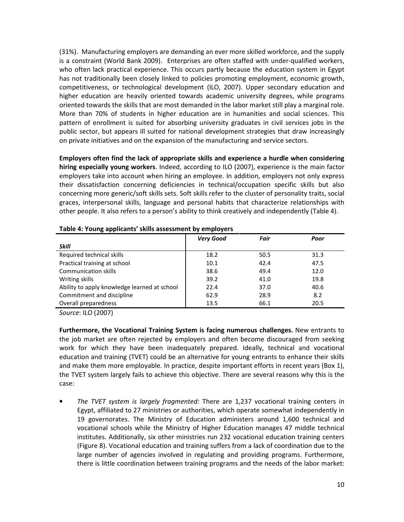(31%). Manufacturing employers are demanding an ever more skilled workforce, and the supply is a constraint (World Bank 2009). Enterprises are often staffed with under-qualified workers, who often lack practical experience. This occurs partly because the education system in Egypt has not traditionally been closely linked to policies promoting employment, economic growth, competitiveness, or technological development (ILO, 2007). Upper secondary education and higher education are heavily oriented towards academic university degrees, while programs oriented towards the skills that are most demanded in the labor market still play a marginal role. More than 70% of students in higher education are in humanities and social sciences. This pattern of enrollment is suited for absorbing university graduates in civil services jobs in the public sector, but appears ill suited for national development strategies that draw increasingly on private initiatives and on the expansion of the manufacturing and service sectors.

Employers often find the lack of appropriate skills and experience a hurdle when considering hiring especially young workers. Indeed, according to ILO (2007), experience is the main factor employers take into account when hiring an employee. In addition, employers not only express their dissatisfaction concerning deficiencies in technical/occupation specific skills but also concerning more generic/soft skills sets. Soft skills refer to the cluster of personality traits, social graces, interpersonal skills, language and personal habits that characterize relationships with other people. It also refers to a person's ability to think creatively and independently (Table 4).

|                                              | <b>Very Good</b> | Fair | Poor |  |
|----------------------------------------------|------------------|------|------|--|
| <b>Skill</b>                                 |                  |      |      |  |
| Required technical skills                    | 18.2             | 50.5 | 31.3 |  |
| Practical training at school                 | 10.1             | 42.4 | 47.5 |  |
| <b>Communication skills</b>                  | 38.6             | 49.4 | 12.0 |  |
| Writing skills                               | 39.2             | 41.0 | 19.8 |  |
| Ability to apply knowledge learned at school | 22.4             | 37.0 | 40.6 |  |
| Commitment and discipline                    | 62.9             | 28.9 | 8.2  |  |
| Overall preparedness                         | 13.5             | 66.1 | 20.5 |  |
|                                              |                  |      |      |  |

#### Table 4: Young applicants' skills assessment by employers

Source: ILO (2007)

Furthermore, the Vocational Training System is facing numerous challenges. New entrants to the job market are often rejected by employers and often become discouraged from seeking work for which they have been inadequately prepared. Ideally, technical and vocational education and training (TVET) could be an alternative for young entrants to enhance their skills and make them more employable. In practice, despite important efforts in recent years (Box 1), the TVET system largely fails to achieve this objective. There are several reasons why this is the case:

• The TVET system is largely fragmented: There are 1,237 vocational training centers in Egypt, affiliated to 27 ministries or authorities, which operate somewhat independently in 19 governorates. The Ministry of Education administers around 1,600 technical and vocational schools while the Ministry of Higher Education manages 47 middle technical institutes. Additionally, six other ministries run 232 vocational education training centers (Figure 8). Vocational education and training suffers from a lack of coordination due to the large number of agencies involved in regulating and providing programs. Furthermore, there is little coordination between training programs and the needs of the labor market: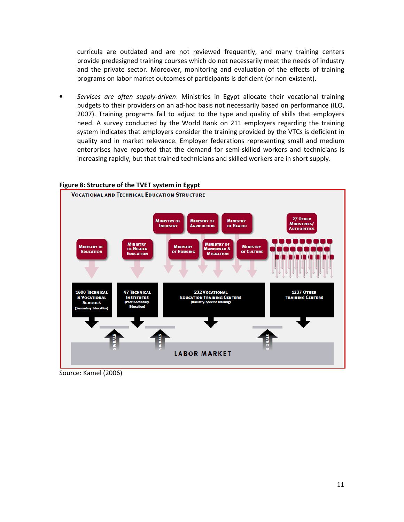curricula are outdated and are not reviewed frequently, and many training centers provide predesigned training courses which do not necessarily meet the needs of industry and the private sector. Moreover, monitoring and evaluation of the effects of training programs on labor market outcomes of participants is deficient (or non-existent).

Services are often supply-driven: Ministries in Egypt allocate their vocational training budgets to their providers on an ad-hoc basis not necessarily based on performance (ILO, 2007). Training programs fail to adjust to the type and quality of skills that employers need. A survey conducted by the World Bank on 211 employers regarding the training system indicates that employers consider the training provided by the VTCs is deficient in quality and in market relevance. Employer federations representing small and medium enterprises have reported that the demand for semi-skilled workers and technicians is increasing rapidly, but that trained technicians and skilled workers are in short supply.

### Figure 8: Structure of the TVET system in Egypt



Source: Kamel (2006)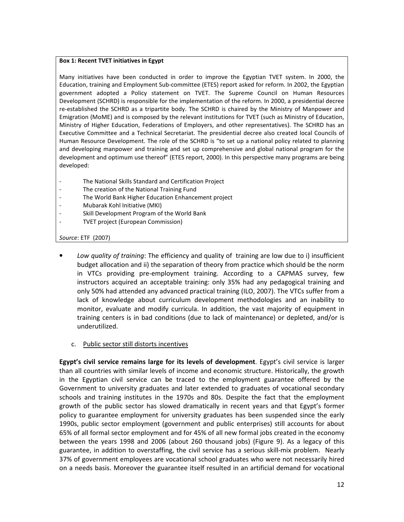#### Box 1: Recent TVET initiatives in Egypt

Many initiatives have been conducted in order to improve the Egyptian TVET system. In 2000, the Education, training and Employment Sub-committee (ETES) report asked for reform. In 2002, the Egyptian government adopted a Policy statement on TVET. The Supreme Council on Human Resources Development (SCHRD) is responsible for the implementation of the reform. In 2000, a presidential decree re-established the SCHRD as a tripartite body. The SCHRD is chaired by the Ministry of Manpower and Emigration (MoME) and is composed by the relevant institutions for TVET (such as Ministry of Education, Ministry of Higher Education, Federations of Employers, and other representatives). The SCHRD has an Executive Committee and a Technical Secretariat. The presidential decree also created local Councils of Human Resource Development. The role of the SCHRD is "to set up a national policy related to planning and developing manpower and training and set up comprehensive and global national program for the development and optimum use thereof" (ETES report, 2000). In this perspective many programs are being developed:

- The National Skills Standard and Certification Project
- The creation of the National Training Fund
- The World Bank Higher Education Enhancement project
- Mubarak Kohl Initiative (MKI)
- Skill Development Program of the World Bank
- TVET project (European Commission)

# Source: ETF (2007)

- Low quality of training: The efficiency and quality of training are low due to i) insufficient budget allocation and ii) the separation of theory from practice which should be the norm in VTCs providing pre-employment training. According to a CAPMAS survey, few instructors acquired an acceptable training: only 35% had any pedagogical training and only 50% had attended any advanced practical training (ILO, 2007). The VTCs suffer from a lack of knowledge about curriculum development methodologies and an inability to monitor, evaluate and modify curricula. In addition, the vast majority of equipment in training centers is in bad conditions (due to lack of maintenance) or depleted, and/or is underutilized.
	- c. Public sector still distorts incentives

Egypt's civil service remains large for its levels of development. Egypt's civil service is larger than all countries with similar levels of income and economic structure. Historically, the growth in the Egyptian civil service can be traced to the employment guarantee offered by the Government to university graduates and later extended to graduates of vocational secondary schools and training institutes in the 1970s and 80s. Despite the fact that the employment growth of the public sector has slowed dramatically in recent years and that Egypt's former policy to guarantee employment for university graduates has been suspended since the early 1990s, public sector employment (government and public enterprises) still accounts for about 65% of all formal sector employment and for 45% of all new formal jobs created in the economy between the years 1998 and 2006 (about 260 thousand jobs) (Figure 9). As a legacy of this guarantee, in addition to overstaffing, the civil service has a serious skill-mix problem. Nearly 37% of government employees are vocational school graduates who were not necessarily hired on a needs basis. Moreover the guarantee itself resulted in an artificial demand for vocational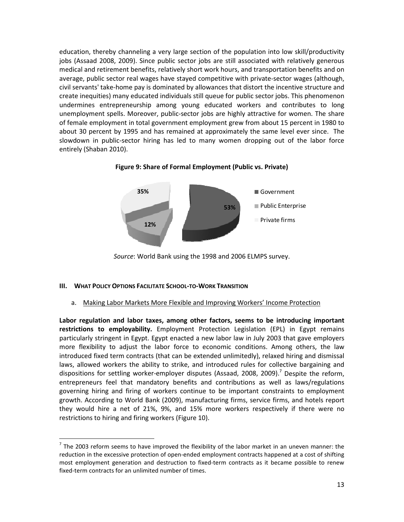education, thereby channeling a very large section of the population into low skill/productivity jobs (Assaad 2008, 2009). Since public sector jobs are still associated with relatively generous medical and retirement benefits, relatively short work hours, and transportation benefits and on average, public sector real wages have stayed competitive with private-sector wages (although, civil servants' take-home pay is dominated by allowances that distort the incentive structure and create inequities) many educated individuals still queue for public sector jobs. This phenomenon undermines entrepreneurship among young educated workers and contributes to long unemployment spells. Moreover, public-sector jobs are highly attractive for women. The share of female employment in total government employment grew from about 15 percent in 1980 to about 30 percent by 1995 and has remained at approximately the same level ever since. The slowdown in public-sector hiring has led to many women dropping out of the labor force entirely (Shaban 2010).



Figure 9: Share of Formal Employment (Public vs. Private)

Source: World Bank using the 1998 and 2006 ELMPS survey.

### III. WHAT POLICY OPTIONS FACILITATE SCHOOL-TO-WORK TRANSITION

 $\overline{a}$ 

# a. Making Labor Markets More Flexible and Improving Workers' Income Protection

Labor regulation and labor taxes, among other factors, seems to be introducing important restrictions to employability. Employment Protection Legislation (EPL) in Egypt remains particularly stringent in Egypt. Egypt enacted a new labor law in July 2003 that gave employers more flexibility to adjust the labor force to economic conditions. Among others, the law introduced fixed term contracts (that can be extended unlimitedly), relaxed hiring and dismissal laws, allowed workers the ability to strike, and introduced rules for collective bargaining and dispositions for settling worker-employer disputes (Assaad, 2008, 2009).<sup>7</sup> Despite the reform, entrepreneurs feel that mandatory benefits and contributions as well as laws/regulations governing hiring and firing of workers continue to be important constraints to employment growth. According to World Bank (2009), manufacturing firms, service firms, and hotels report they would hire a net of 21%, 9%, and 15% more workers respectively if there were no restrictions to hiring and firing workers (Figure 10).

 $<sup>7</sup>$  The 2003 reform seems to have improved the flexibility of the labor market in an uneven manner: the</sup> reduction in the excessive protection of open-ended employment contracts happened at a cost of shifting most employment generation and destruction to fixed-term contracts as it became possible to renew fixed-term contracts for an unlimited number of times.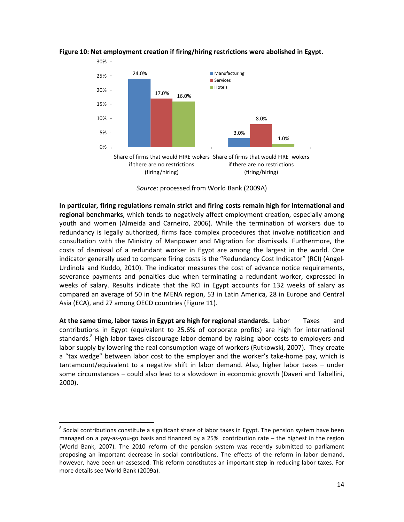



Source: processed from World Bank (2009A)

In particular, firing regulations remain strict and firing costs remain high for international and regional benchmarks, which tends to negatively affect employment creation, especially among youth and women (Almeida and Carneiro, 2006). While the termination of workers due to redundancy is legally authorized, firms face complex procedures that involve notification and consultation with the Ministry of Manpower and Migration for dismissals. Furthermore, the costs of dismissal of a redundant worker in Egypt are among the largest in the world. One indicator generally used to compare firing costs is the "Redundancy Cost Indicator" (RCI) (Angel-Urdinola and Kuddo, 2010). The indicator measures the cost of advance notice requirements, severance payments and penalties due when terminating a redundant worker, expressed in weeks of salary. Results indicate that the RCI in Egypt accounts for 132 weeks of salary as compared an average of 50 in the MENA region, 53 in Latin America, 28 in Europe and Central Asia (ECA), and 27 among OECD countries (Figure 11).

At the same time, labor taxes in Egypt are high for regional standards. Labor Taxes and contributions in Egypt (equivalent to 25.6% of corporate profits) are high for international standards.<sup>8</sup> High labor taxes discourage labor demand by raising labor costs to employers and labor supply by lowering the real consumption wage of workers (Rutkowski, 2007). They create a "tax wedge" between labor cost to the employer and the worker's take-home pay, which is tantamount/equivalent to a negative shift in labor demand. Also, higher labor taxes – under some circumstances – could also lead to a slowdown in economic growth (Daveri and Tabellini, 2000).

 $\overline{a}$ 

 $^8$  Social contributions constitute a significant share of labor taxes in Egypt. The pension system have been managed on a pay-as-you-go basis and financed by a 25% contribution rate – the highest in the region (World Bank, 2007). The 2010 reform of the pension system was recently submitted to parliament proposing an important decrease in social contributions. The effects of the reform in labor demand, however, have been un-assessed. This reform constitutes an important step in reducing labor taxes. For more details see World Bank (2009a).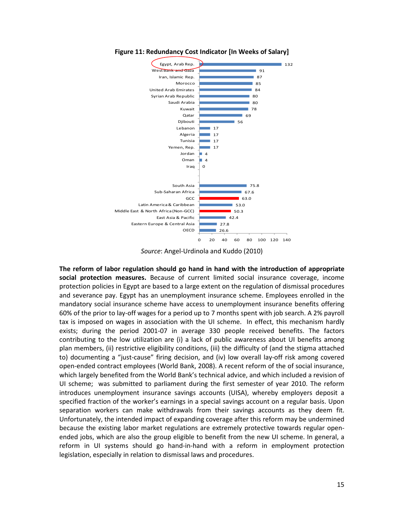

Figure 11: Redundancy Cost Indicator [In Weeks of Salary]



The reform of labor regulation should go hand in hand with the introduction of appropriate social protection measures. Because of current limited social insurance coverage, income protection policies in Egypt are based to a large extent on the regulation of dismissal procedures and severance pay. Egypt has an unemployment insurance scheme. Employees enrolled in the mandatory social insurance scheme have access to unemployment insurance benefits offering 60% of the prior to lay-off wages for a period up to 7 months spent with job search. A 2% payroll tax is imposed on wages in association with the UI scheme. In effect, this mechanism hardly exists; during the period 2001-07 in average 330 people received benefits. The factors contributing to the low utilization are (i) a lack of public awareness about UI benefits among plan members, (ii) restrictive eligibility conditions, (iii) the difficulty of (and the stigma attached to) documenting a "just-cause" firing decision, and (iv) low overall lay-off risk among covered open-ended contract employees (World Bank, 2008). A recent reform of the of social insurance, which largely benefited from the World Bank's technical advice, and which included a revision of UI scheme; was submitted to parliament during the first semester of year 2010. The reform introduces unemployment insurance savings accounts (UISA), whereby employers deposit a specified fraction of the worker's earnings in a special savings account on a regular basis. Upon separation workers can make withdrawals from their savings accounts as they deem fit. Unfortunately, the intended impact of expanding coverage after this reform may be undermined because the existing labor market regulations are extremely protective towards regular openended jobs, which are also the group eligible to benefit from the new UI scheme. In general, a reform in UI systems should go hand-in-hand with a reform in employment protection legislation, especially in relation to dismissal laws and procedures.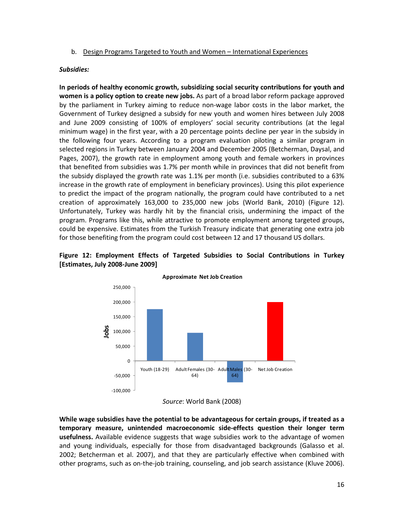# b. Design Programs Targeted to Youth and Women – International Experiences

# Subsidies:

In periods of healthy economic growth, subsidizing social security contributions for youth and women is a policy option to create new jobs. As part of a broad labor reform package approved by the parliament in Turkey aiming to reduce non-wage labor costs in the labor market, the Government of Turkey designed a subsidy for new youth and women hires between July 2008 and June 2009 consisting of 100% of employers' social security contributions (at the legal minimum wage) in the first year, with a 20 percentage points decline per year in the subsidy in the following four years. According to a program evaluation piloting a similar program in selected regions in Turkey between January 2004 and December 2005 (Betcherman, Daysal, and Pages, 2007), the growth rate in employment among youth and female workers in provinces that benefited from subsidies was 1.7% per month while in provinces that did not benefit from the subsidy displayed the growth rate was 1.1% per month (i.e. subsidies contributed to a 63% increase in the growth rate of employment in beneficiary provinces). Using this pilot experience to predict the impact of the program nationally, the program could have contributed to a net creation of approximately 163,000 to 235,000 new jobs (World Bank, 2010) (Figure 12). Unfortunately, Turkey was hardly hit by the financial crisis, undermining the impact of the program. Programs like this, while attractive to promote employment among targeted groups, could be expensive. Estimates from the Turkish Treasury indicate that generating one extra job for those benefiting from the program could cost between 12 and 17 thousand US dollars.

# Figure 12: Employment Effects of Targeted Subsidies to Social Contributions in Turkey [Estimates, July 2008-June 2009]



#### Approximate Net Job Creation

While wage subsidies have the potential to be advantageous for certain groups, if treated as a temporary measure, unintended macroeconomic side-effects question their longer term usefulness. Available evidence suggests that wage subsidies work to the advantage of women and young individuals, especially for those from disadvantaged backgrounds (Galasso et al. 2002; Betcherman et al. 2007), and that they are particularly effective when combined with other programs, such as on-the-job training, counseling, and job search assistance (Kluve 2006).

Source: World Bank (2008)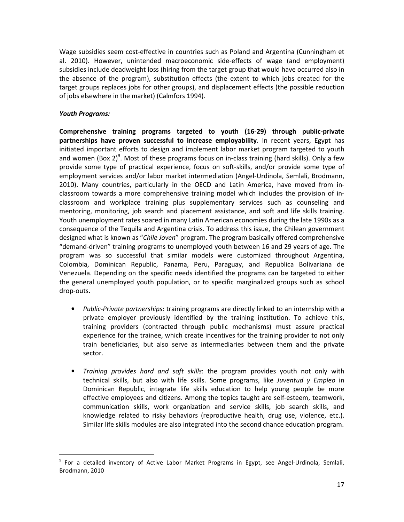Wage subsidies seem cost-effective in countries such as Poland and Argentina (Cunningham et al. 2010). However, unintended macroeconomic side-effects of wage (and employment) subsidies include deadweight loss (hiring from the target group that would have occurred also in the absence of the program), substitution effects (the extent to which jobs created for the target groups replaces jobs for other groups), and displacement effects (the possible reduction of jobs elsewhere in the market) (Calmfors 1994).

# Youth Programs:

 $\overline{a}$ 

Comprehensive training programs targeted to youth (16-29) through public-private partnerships have proven successful to increase employability. In recent years, Egypt has initiated important efforts to design and implement labor market program targeted to youth and women (Box 2)<sup>9</sup>. Most of these programs focus on in-class training (hard skills). Only a few provide some type of practical experience, focus on soft-skills, and/or provide some type of employment services and/or labor market intermediation (Angel-Urdinola, Semlali, Brodmann, 2010). Many countries, particularly in the OECD and Latin America, have moved from inclassroom towards a more comprehensive training model which includes the provision of inclassroom and workplace training plus supplementary services such as counseling and mentoring, monitoring, job search and placement assistance, and soft and life skills training. Youth unemployment rates soared in many Latin American economies during the late 1990s as a consequence of the Tequila and Argentina crisis. To address this issue, the Chilean government designed what is known as "Chile Joven" program. The program basically offered comprehensive "demand-driven" training programs to unemployed youth between 16 and 29 years of age. The program was so successful that similar models were customized throughout Argentina, Colombia, Dominican Republic, Panama, Peru, Paraguay, and Republica Bolivariana de Venezuela. Depending on the specific needs identified the programs can be targeted to either the general unemployed youth population, or to specific marginalized groups such as school drop-outs.

- Public-Private partnerships: training programs are directly linked to an internship with a private employer previously identified by the training institution. To achieve this, training providers (contracted through public mechanisms) must assure practical experience for the trainee, which create incentives for the training provider to not only train beneficiaries, but also serve as intermediaries between them and the private sector.
- Training provides hard and soft skills: the program provides youth not only with technical skills, but also with life skills. Some programs, like Juventud y Empleo in Dominican Republic, integrate life skills education to help young people be more effective employees and citizens. Among the topics taught are self-esteem, teamwork, communication skills, work organization and service skills, job search skills, and knowledge related to risky behaviors (reproductive health, drug use, violence, etc.). Similar life skills modules are also integrated into the second chance education program.

<sup>&</sup>lt;sup>9</sup> For a detailed inventory of Active Labor Market Programs in Egypt, see Angel-Urdinola, Semlali, Brodmann, 2010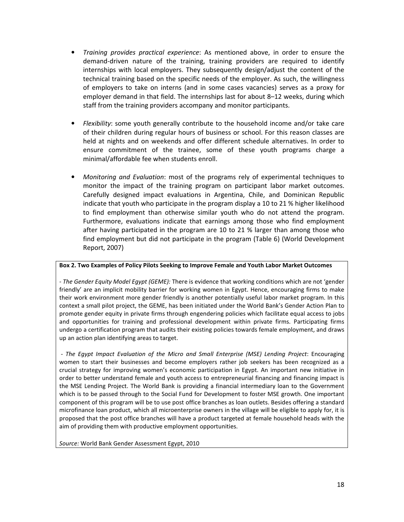- Training provides practical experience: As mentioned above, in order to ensure the demand-driven nature of the training, training providers are required to identify internships with local employers. They subsequently design/adjust the content of the technical training based on the specific needs of the employer. As such, the willingness of employers to take on interns (and in some cases vacancies) serves as a proxy for employer demand in that field. The internships last for about 8–12 weeks, during which staff from the training providers accompany and monitor participants.
- Flexibility: some youth generally contribute to the household income and/or take care of their children during regular hours of business or school. For this reason classes are held at nights and on weekends and offer different schedule alternatives. In order to ensure commitment of the trainee, some of these youth programs charge a minimal/affordable fee when students enroll.
- Monitoring and Evaluation: most of the programs rely of experimental techniques to monitor the impact of the training program on participant labor market outcomes. Carefully designed impact evaluations in Argentina, Chile, and Dominican Republic indicate that youth who participate in the program display a 10 to 21 % higher likelihood to find employment than otherwise similar youth who do not attend the program. Furthermore, evaluations indicate that earnings among those who find employment after having participated in the program are 10 to 21 % larger than among those who find employment but did not participate in the program (Table 6) (World Development Report, 2007)

### Box 2. Two Examples of Policy Pilots Seeking to Improve Female and Youth Labor Market Outcomes

- The Gender Equity Model Egypt (GEME): There is evidence that working conditions which are not 'gender friendly' are an implicit mobility barrier for working women in Egypt. Hence, encouraging firms to make their work environment more gender friendly is another potentially useful labor market program. In this context a small pilot project, the GEME, has been initiated under the World Bank's Gender Action Plan to promote gender equity in private firms through engendering policies which facilitate equal access to jobs and opportunities for training and professional development within private firms. Participating firms undergo a certification program that audits their existing policies towards female employment, and draws up an action plan identifying areas to target.

 - The Egypt Impact Evaluation of the Micro and Small Enterprise (MSE) Lending Project: Encouraging women to start their businesses and become employers rather job seekers has been recognized as a crucial strategy for improving women's economic participation in Egypt. An important new initiative in order to better understand female and youth access to entrepreneurial financing and financing impact is the MSE Lending Project. The World Bank is providing a financial intermediary loan to the Government which is to be passed through to the Social Fund for Development to foster MSE growth. One important component of this program will be to use post office branches as loan outlets. Besides offering a standard microfinance loan product, which all microenterprise owners in the village will be eligible to apply for, it is proposed that the post office branches will have a product targeted at female household heads with the aim of providing them with productive employment opportunities.

Source: World Bank Gender Assessment Egypt, 2010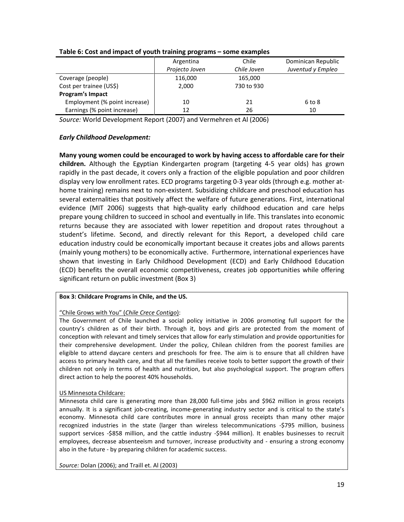|                               | Argentina      | Chile       | Dominican Republic |
|-------------------------------|----------------|-------------|--------------------|
|                               | Projecto Joven | Chile Joven | Juventud y Empleo  |
| Coverage (people)             | 116,000        | 165,000     |                    |
| Cost per trainee (US\$)       | 2,000          | 730 to 930  |                    |
| Program's Impact              |                |             |                    |
| Employment (% point increase) | 10             | 21          | 6 to 8             |
| Earnings (% point increase)   | 12             | 26          | 10                 |
|                               |                |             |                    |

# Table 6: Cost and impact of youth training programs – some examples

Source: World Development Report (2007) and Vermehren et Al (2006)

# Early Childhood Development:

Many young women could be encouraged to work by having access to affordable care for their children. Although the Egyptian Kindergarten program (targeting 4-5 year olds) has grown rapidly in the past decade, it covers only a fraction of the eligible population and poor children display very low enrollment rates. ECD programs targeting 0-3 year olds (through e.g. mother athome training) remains next to non-existent. Subsidizing childcare and preschool education has several externalities that positively affect the welfare of future generations. First, international evidence (MIT 2006) suggests that high-quality early childhood education and care helps prepare young children to succeed in school and eventually in life. This translates into economic returns because they are associated with lower repetition and dropout rates throughout a student's lifetime. Second, and directly relevant for this Report, a developed child care education industry could be economically important because it creates jobs and allows parents (mainly young mothers) to be economically active. Furthermore, international experiences have shown that investing in Early Childhood Development (ECD) and Early Childhood Education (ECD) benefits the overall economic competitiveness, creates job opportunities while offering significant return on public investment (Box 3)

# Box 3: Childcare Programs in Chile, and the US.

# "Chile Grows with You" (Chile Crece Contigo):

The Government of Chile launched a social policy initiative in 2006 promoting full support for the country's children as of their birth. Through it, boys and girls are protected from the moment of conception with relevant and timely services that allow for early stimulation and provide opportunities for their comprehensive development. Under the policy, Chilean children from the poorest families are eligible to attend daycare centers and preschools for free. The aim is to ensure that all children have access to primary health care, and that all the families receive tools to better support the growth of their children not only in terms of health and nutrition, but also psychological support. The program offers direct action to help the poorest 40% households.

### US Minnesota Childcare:

Minnesota child care is generating more than 28,000 full-time jobs and \$962 million in gross receipts annually. It is a significant job-creating, income-generating industry sector and is critical to the state's economy. Minnesota child care contributes more in annual gross receipts than many other major recognized industries in the state (larger than wireless telecommunications -\$795 million, business support services -\$858 million, and the cattle industry -\$944 million). It enables businesses to recruit employees, decrease absenteeism and turnover, increase productivity and - ensuring a strong economy also in the future - by preparing children for academic success.

Source: Dolan (2006); and Traill et. Al (2003)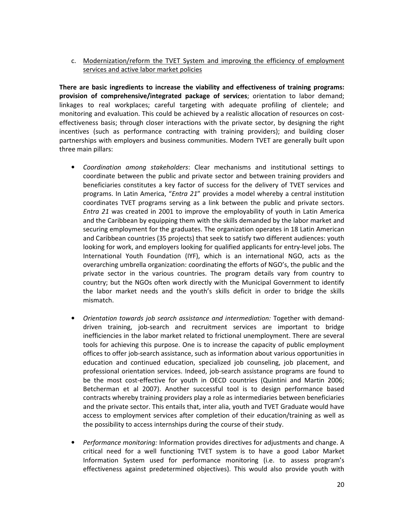c. Modernization/reform the TVET System and improving the efficiency of employment services and active labor market policies

There are basic ingredients to increase the viability and effectiveness of training programs: provision of comprehensive/integrated package of services; orientation to labor demand; linkages to real workplaces; careful targeting with adequate profiling of clientele; and monitoring and evaluation. This could be achieved by a realistic allocation of resources on costeffectiveness basis; through closer interactions with the private sector, by designing the right incentives (such as performance contracting with training providers); and building closer partnerships with employers and business communities. Modern TVET are generally built upon three main pillars:

- Coordination among stakeholders: Clear mechanisms and institutional settings to coordinate between the public and private sector and between training providers and beneficiaries constitutes a key factor of success for the delivery of TVET services and programs. In Latin America, "Entra 21" provides a model whereby a central institution coordinates TVET programs serving as a link between the public and private sectors. Entra 21 was created in 2001 to improve the employability of youth in Latin America and the Caribbean by equipping them with the skills demanded by the labor market and securing employment for the graduates. The organization operates in 18 Latin American and Caribbean countries (35 projects) that seek to satisfy two different audiences: youth looking for work, and employers looking for qualified applicants for entry-level jobs. The International Youth Foundation (IYF), which is an international NGO, acts as the overarching umbrella organization: coordinating the efforts of NGO's, the public and the private sector in the various countries. The program details vary from country to country; but the NGOs often work directly with the Municipal Government to identify the labor market needs and the youth's skills deficit in order to bridge the skills mismatch.
- Orientation towards job search assistance and intermediation: Together with demanddriven training, job-search and recruitment services are important to bridge inefficiencies in the labor market related to frictional unemployment. There are several tools for achieving this purpose. One is to increase the capacity of public employment offices to offer job-search assistance, such as information about various opportunities in education and continued education, specialized job counseling, job placement, and professional orientation services. Indeed, job-search assistance programs are found to be the most cost-effective for youth in OECD countries (Quintini and Martin 2006; Betcherman et al 2007). Another successful tool is to design performance based contracts whereby training providers play a role as intermediaries between beneficiaries and the private sector. This entails that, inter alia, youth and TVET Graduate would have access to employment services after completion of their education/training as well as the possibility to access internships during the course of their study.
- Performance monitoring: Information provides directives for adjustments and change. A critical need for a well functioning TVET system is to have a good Labor Market Information System used for performance monitoring (i.e. to assess program's effectiveness against predetermined objectives). This would also provide youth with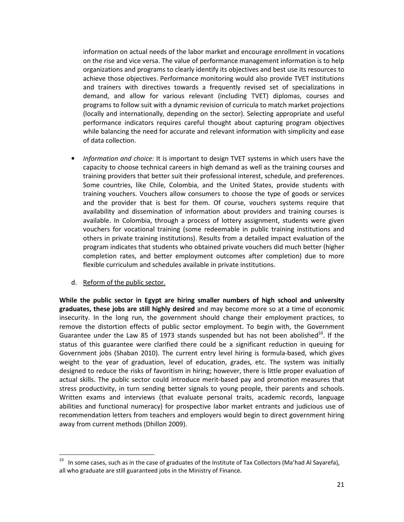information on actual needs of the labor market and encourage enrollment in vocations on the rise and vice versa. The value of performance management information is to help organizations and programs to clearly identify its objectives and best use its resources to achieve those objectives. Performance monitoring would also provide TVET institutions and trainers with directives towards a frequently revised set of specializations in demand, and allow for various relevant (including TVET) diplomas, courses and programs to follow suit with a dynamic revision of curricula to match market projections (locally and internationally, depending on the sector). Selecting appropriate and useful performance indicators requires careful thought about capturing program objectives while balancing the need for accurate and relevant information with simplicity and ease of data collection.

- Information and choice: It is important to design TVET systems in which users have the capacity to choose technical careers in high demand as well as the training courses and training providers that better suit their professional interest, schedule, and preferences. Some countries, like Chile, Colombia, and the United States, provide students with training vouchers. Vouchers allow consumers to choose the type of goods or services and the provider that is best for them. Of course, vouchers systems require that availability and dissemination of information about providers and training courses is available. In Colombia, through a process of lottery assignment, students were given vouchers for vocational training (some redeemable in public training institutions and others in private training institutions). Results from a detailed impact evaluation of the program indicates that students who obtained private vouchers did much better (higher completion rates, and better employment outcomes after completion) due to more flexible curriculum and schedules available in private institutions.
- d. Reform of the public sector.

 $\overline{a}$ 

While the public sector in Egypt are hiring smaller numbers of high school and university graduates, these jobs are still highly desired and may become more so at a time of economic insecurity. In the long run, the government should change their employment practices, to remove the distortion effects of public sector employment. To begin with, the Government Guarantee under the Law 85 of 1973 stands suspended but has not been abolished $^{10}$ . If the status of this guarantee were clarified there could be a significant reduction in queuing for Government jobs (Shaban 2010). The current entry level hiring is formula-based, which gives weight to the year of graduation, level of education, grades, etc. The system was initially designed to reduce the risks of favoritism in hiring; however, there is little proper evaluation of actual skills. The public sector could introduce merit-based pay and promotion measures that stress productivity, in turn sending better signals to young people, their parents and schools. Written exams and interviews (that evaluate personal traits, academic records, language abilities and functional numeracy) for prospective labor market entrants and judicious use of recommendation letters from teachers and employers would begin to direct government hiring away from current methods (Dhillon 2009).

 $10$  In some cases, such as in the case of graduates of the Institute of Tax Collectors (Ma'had Al Sayarefa), all who graduate are still guaranteed jobs in the Ministry of Finance.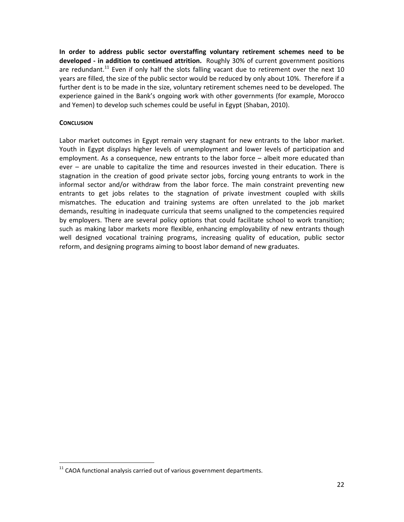In order to address public sector overstaffing voluntary retirement schemes need to be developed - in addition to continued attrition. Roughly 30% of current government positions are redundant.<sup>11</sup> Even if only half the slots falling vacant due to retirement over the next 10 years are filled, the size of the public sector would be reduced by only about 10%. Therefore if a further dent is to be made in the size, voluntary retirement schemes need to be developed. The experience gained in the Bank's ongoing work with other governments (for example, Morocco and Yemen) to develop such schemes could be useful in Egypt (Shaban, 2010).

# **CONCLUSION**

 $\overline{a}$ 

Labor market outcomes in Egypt remain very stagnant for new entrants to the labor market. Youth in Egypt displays higher levels of unemployment and lower levels of participation and employment. As a consequence, new entrants to the labor force – albeit more educated than ever – are unable to capitalize the time and resources invested in their education. There is stagnation in the creation of good private sector jobs, forcing young entrants to work in the informal sector and/or withdraw from the labor force. The main constraint preventing new entrants to get jobs relates to the stagnation of private investment coupled with skills mismatches. The education and training systems are often unrelated to the job market demands, resulting in inadequate curricula that seems unaligned to the competencies required by employers. There are several policy options that could facilitate school to work transition; such as making labor markets more flexible, enhancing employability of new entrants though well designed vocational training programs, increasing quality of education, public sector reform, and designing programs aiming to boost labor demand of new graduates.

 $11$  CAOA functional analysis carried out of various government departments.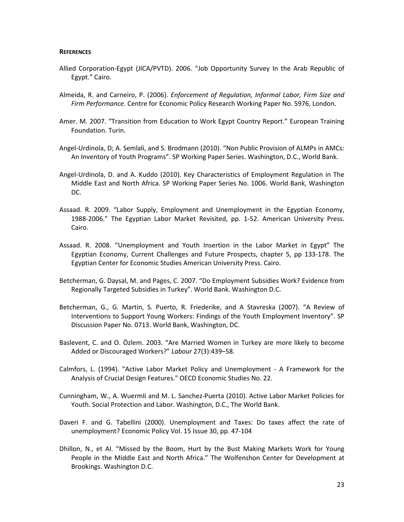#### **REFERENCES**

- Allied Corporation-Egypt (JICA/PVTD). 2006. "Job Opportunity Survey In the Arab Republic of Egypt." Cairo.
- Almeida, R. and Carneiro, P. (2006). Enforcement of Regulation, Informal Labor, Firm Size and Firm Performance. Centre for Economic Policy Research Working Paper No. 5976, London.
- Amer. M. 2007. "Transition from Education to Work Egypt Country Report." European Training Foundation. Turin.
- Angel-Urdinola, D; A. Semlali, and S. Brodmann (2010). "Non Public Provision of ALMPs in AMCs: An Inventory of Youth Programs". SP Working Paper Series. Washington, D.C., World Bank.
- Angel-Urdinola, D. and A. Kuddo (2010). Key Characteristics of Employment Regulation in The Middle East and North Africa. SP Working Paper Series No. 1006. World Bank, Washington DC.
- Assaad. R. 2009. "Labor Supply, Employment and Unemployment in the Egyptian Economy, 1988-2006." The Egyptian Labor Market Revisited, pp. 1-52. American University Press. Cairo.
- Assaad. R. 2008. "Unemployment and Youth Insertion in the Labor Market in Egypt" The Egyptian Economy, Current Challenges and Future Prospects, chapter 5, pp 133-178. The Egyptian Center for Economic Studies American University Press. Cairo.
- Betcherman, G. Daysal, M. and Pages, C. 2007. "Do Employment Subsidies Work? Evidence from Regionally Targeted Subsidies in Turkey". World Bank. Washington D.C.
- Betcherman, G., G. Martin, S. Puerto, R. Friederike, and A Stavreska (2007). "A Review of Interventions to Support Young Workers: Findings of the Youth Employment Inventory". SP Discussion Paper No. 0713. World Bank, Washington, DC.
- Baslevent, C. and O. Özlem. 2003. "Are Married Women in Turkey are more likely to become Added or Discouraged Workers?" Labour 27(3):439–58.
- Calmfors, L. (1994). "Active Labor Market Policy and Unemployment A Framework for the Analysis of Crucial Design Features." OECD Economic Studies No. 22.
- Cunningham, W., A. Wuermli and M. L. Sanchez-Puerta (2010). Active Labor Market Policies for Youth. Social Protection and Labor. Washington, D.C., The World Bank.
- Daveri F. and G. Tabellini (2000). Unemployment and Taxes: Do taxes affect the rate of unemployment? Economic Policy Vol. 15 Issue 30, pp. 47-104
- Dhillon, N., et Al. "Missed by the Boom, Hurt by the Bust Making Markets Work for Young People in the Middle East and North Africa." The Wolfenshon Center for Development at Brookings. Washington D.C.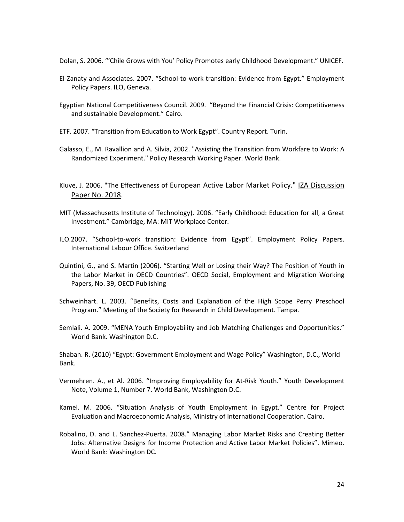Dolan, S. 2006. "'Chile Grows with You' Policy Promotes early Childhood Development." UNICEF.

- El-Zanaty and Associates. 2007. "School-to-work transition: Evidence from Egypt." Employment Policy Papers. ILO, Geneva.
- Egyptian National Competitiveness Council. 2009. "Beyond the Financial Crisis: Competitiveness and sustainable Development." Cairo.
- ETF. 2007. "Transition from Education to Work Egypt". Country Report. Turin.
- Galasso, E., M. Ravallion and A. Silvia, 2002. "Assisting the Transition from Workfare to Work: A Randomized Experiment." Policy Research Working Paper. World Bank.
- Kluve, J. 2006. "The Effectiveness of European Active Labor Market Policy." IZA Discussion Paper No. 2018.
- MIT (Massachusetts Institute of Technology). 2006. "Early Childhood: Education for all, a Great Investment." Cambridge, MA: MIT Workplace Center.
- ILO.2007. "School-to-work transition: Evidence from Egypt". Employment Policy Papers. International Labour Office. Switzerland
- Quintini, G., and S. Martin (2006). "Starting Well or Losing their Way? The Position of Youth in the Labor Market in OECD Countries". OECD Social, Employment and Migration Working Papers, No. 39, OECD Publishing
- Schweinhart. L. 2003. "Benefits, Costs and Explanation of the High Scope Perry Preschool Program." Meeting of the Society for Research in Child Development. Tampa.
- Semlali. A. 2009. "MENA Youth Employability and Job Matching Challenges and Opportunities." World Bank. Washington D.C.

Shaban. R. (2010) "Egypt: Government Employment and Wage Policy" Washington, D.C., World Bank.

- Vermehren. A., et Al. 2006. "Improving Employability for At-Risk Youth." Youth Development Note, Volume 1, Number 7. World Bank, Washington D.C.
- Kamel. M. 2006. "Situation Analysis of Youth Employment in Egypt." Centre for Project Evaluation and Macroeconomic Analysis, Ministry of International Cooperation. Cairo.
- Robalino, D. and L. Sanchez-Puerta. 2008." Managing Labor Market Risks and Creating Better Jobs: Alternative Designs for Income Protection and Active Labor Market Policies". Mimeo. World Bank: Washington DC.